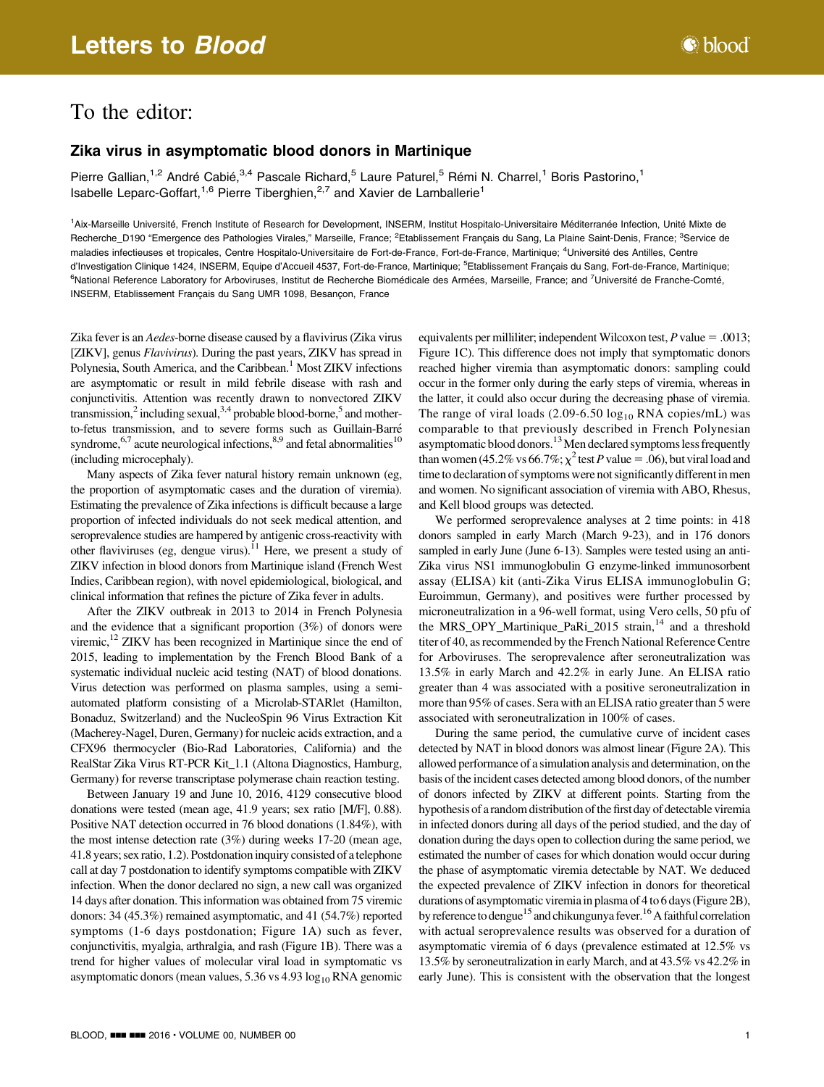## To the editor:

## Zika virus in asymptomatic blood donors in Martinique

Pierre Gallian,<sup>1,2</sup> André Cabié,<sup>3,4</sup> Pascale Richard,<sup>5</sup> Laure Paturel,<sup>5</sup> Rémi N. Charrel,<sup>1</sup> Boris Pastorino,<sup>1</sup> Isabelle Leparc-Goffart,<sup>1,6</sup> Pierre Tiberghien,<sup>2,7</sup> and Xavier de Lamballerie<sup>1</sup>

<sup>1</sup>Aix-Marseille Université, French Institute of Research for Development, INSERM, Institut Hospitalo-Universitaire Méditerranée Infection, Unité Mixte de Recherche\_D190 "Emergence des Pathologies Virales," Marseille, France; <sup>2</sup>Etablissement Français du Sang, La Plaine Saint-Denis, France; <sup>3</sup>Service de maladies infectieuses et tropicales, Centre Hospitalo-Universitaire de Fort-de-France, Fort-de-France, Martinique; <sup>4</sup>Université des Antilles, Centre d'Investigation Clinique 1424, INSERM, Equipe d'Accueil 4537, Fort-de-France, Martinique; <sup>s</sup>Etablissement Français du Sang, Fort-de-France, Martinique; <sup>6</sup>National Reference Laboratory for Arboviruses, Institut de Recherche Biomédicale des Armées, Marseille, France; and <sup>7</sup>Université de Franche-Comté, INSERM, Etablissement Français du Sang UMR 1098, Besançon, France

Zika fever is an Aedes-borne disease caused by a flavivirus (Zika virus [ZIKV], genus *Flavivirus*). During the past years, ZIKV has spread in Polynesia, South America, and the Caribbean.<sup>1</sup> Most ZIKV infections are asymptomatic or result in mild febrile disease with rash and conjunctivitis. Attention was recently drawn to nonvectored ZIKV transmission,<sup>2</sup> including sexual,<sup>3,4</sup> probable blood-borne,<sup>5</sup> and motherto-fetus transmission, and to severe forms such as Guillain-Barre´ syndrome,<sup>6,7</sup> acute neurological infections, $8,9$  and fetal abnormalities<sup>10</sup> (including microcephaly).

Many aspects of Zika fever natural history remain unknown (eg, the proportion of asymptomatic cases and the duration of viremia). Estimating the prevalence of Zika infections is difficult because a large proportion of infected individuals do not seek medical attention, and seroprevalence studies are hampered by antigenic cross-reactivity with other flaviviruses (eg, dengue virus).<sup>11</sup> Here, we present a study of ZIKV infection in blood donors from Martinique island (French West Indies, Caribbean region), with novel epidemiological, biological, and clinical information that refines the picture of Zika fever in adults.

After the ZIKV outbreak in 2013 to 2014 in French Polynesia and the evidence that a significant proportion (3%) of donors were viremic,<sup>12</sup> ZIKV has been recognized in Martinique since the end of 2015, leading to implementation by the French Blood Bank of a systematic individual nucleic acid testing (NAT) of blood donations. Virus detection was performed on plasma samples, using a semiautomated platform consisting of a Microlab-STARlet (Hamilton, Bonaduz, Switzerland) and the NucleoSpin 96 Virus Extraction Kit (Macherey-Nagel, Duren, Germany) for nucleic acids extraction, and a CFX96 thermocycler (Bio-Rad Laboratories, California) and the RealStar Zika Virus RT-PCR Kit\_1.1 (Altona Diagnostics, Hamburg, Germany) for reverse transcriptase polymerase chain reaction testing.

Between January 19 and June 10, 2016, 4129 consecutive blood donations were tested (mean age, 41.9 years; sex ratio [M/F], 0.88). Positive NAT detection occurred in 76 blood donations (1.84%), with the most intense detection rate (3%) during weeks 17-20 (mean age, 41.8 years; sex ratio, 1.2). Postdonation inquiry consisted of a telephone call at day 7 postdonation to identify symptoms compatible with ZIKV infection. When the donor declared no sign, a new call was organized 14 days after donation. This information was obtained from 75 viremic donors: 34 (45.3%) remained asymptomatic, and 41 (54.7%) reported symptoms (1-6 days postdonation; Figure 1A) such as fever, conjunctivitis, myalgia, arthralgia, and rash (Figure 1B). There was a trend for higher values of molecular viral load in symptomatic vs asymptomatic donors (mean values,  $5.36$  vs  $4.93 \log_{10} RNA$  genomic equivalents per milliliter; independent Wilcoxon test,  $P$  value = .0013; Figure 1C). This difference does not imply that symptomatic donors reached higher viremia than asymptomatic donors: sampling could occur in the former only during the early steps of viremia, whereas in the latter, it could also occur during the decreasing phase of viremia. The range of viral loads  $(2.09-6.50 \log_{10} RNA$  copies/mL) was comparable to that previously described in French Polynesian asymptomatic blood donors.<sup>13</sup> Men declared symptoms less frequently than women (45.2% vs 66.7%;  $\chi^2$  test P value = .06), but viral load and time to declaration of symptoms were not significantly different in men and women. No significant association of viremia with ABO, Rhesus, and Kell blood groups was detected.

We performed seroprevalence analyses at 2 time points: in 418 donors sampled in early March (March 9-23), and in 176 donors sampled in early June (June 6-13). Samples were tested using an anti-Zika virus NS1 immunoglobulin G enzyme-linked immunosorbent assay (ELISA) kit (anti-Zika Virus ELISA immunoglobulin G; Euroimmun, Germany), and positives were further processed by microneutralization in a 96-well format, using Vero cells, 50 pfu of the MRS\_OPY\_Martinique\_PaRi\_2015 strain,<sup>14</sup> and a threshold titer of 40, as recommended by the French National Reference Centre for Arboviruses. The seroprevalence after seroneutralization was 13.5% in early March and 42.2% in early June. An ELISA ratio greater than 4 was associated with a positive seroneutralization in more than 95% of cases. Sera with an ELISA ratio greater than 5 were associated with seroneutralization in 100% of cases.

During the same period, the cumulative curve of incident cases detected by NAT in blood donors was almost linear (Figure 2A). This allowed performance of a simulation analysis and determination, on the basis of the incident cases detected among blood donors, of the number of donors infected by ZIKV at different points. Starting from the hypothesis of a random distribution of the first day of detectable viremia in infected donors during all days of the period studied, and the day of donation during the days open to collection during the same period, we estimated the number of cases for which donation would occur during the phase of asymptomatic viremia detectable by NAT. We deduced the expected prevalence of ZIKV infection in donors for theoretical durations of asymptomatic viremiain plasma of 4 to 6 days (Figure 2B), by reference to dengue<sup>15</sup> and chikungunya fever.<sup>16</sup> A faithful correlation with actual seroprevalence results was observed for a duration of asymptomatic viremia of 6 days (prevalence estimated at 12.5% vs 13.5% by seroneutralization in early March, and at 43.5% vs 42.2% in early June). This is consistent with the observation that the longest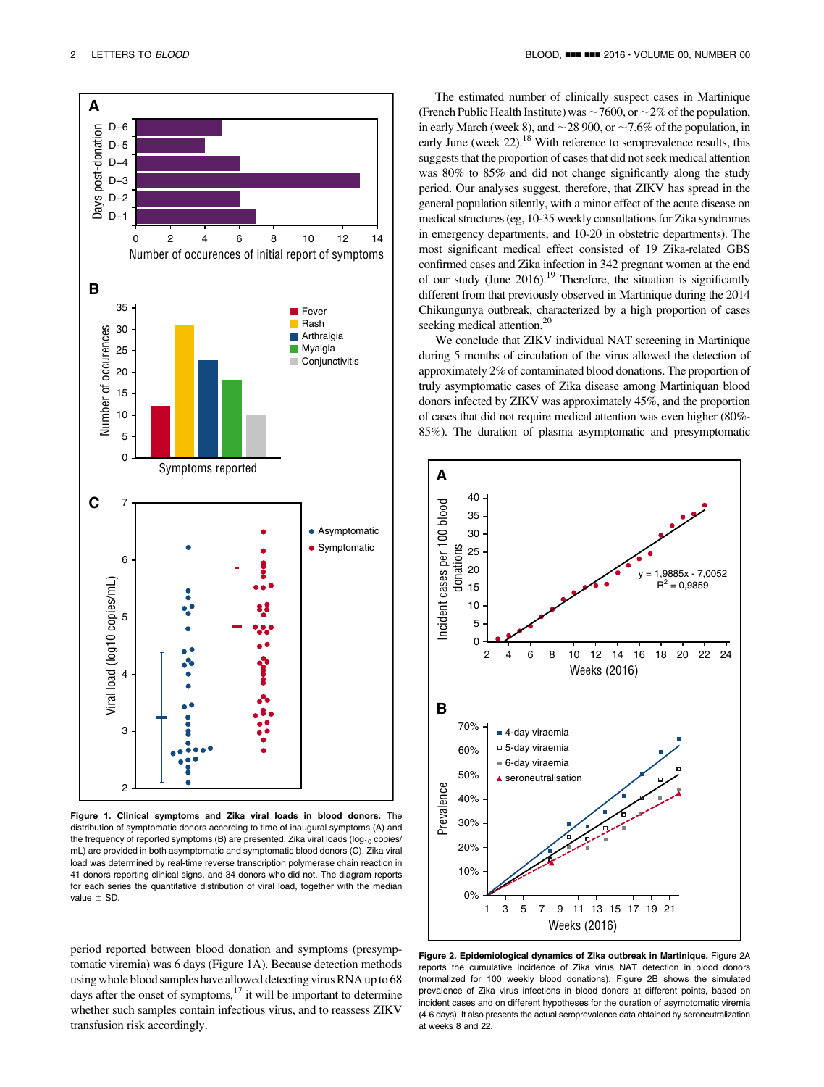

Figure 1. Clinical symptoms and Zika viral loads in blood donors. The distribution of symptomatic donors according to time of inaugural symptoms (A) and the frequency of reported symptoms (B) are presented. Zika viral loads ( $log_{10}$  copies/ mL) are provided in both asymptomatic and symptomatic blood donors (C). Zika viral load was determined by real-time reverse transcription polymerase chain reaction in 41 donors reporting clinical signs, and 34 donors who did not. The diagram reports for each series the quantitative distribution of viral load, together with the median value  $\pm$  SD.

period reported between blood donation and symptoms (presymptomatic viremia) was 6 days (Figure 1A). Because detection methods using whole blood samples have allowed detecting virus RNA up to 68 days after the onset of symptoms, $17$  it will be important to determine whether such samples contain infectious virus, and to reassess ZIKV transfusion risk accordingly.

The estimated number of clinically suspect cases in Martinique (French Public Health Institute) was  $\sim$  7600, or  $\sim$  2% of the population, in early March (week 8), and  $\sim$  28 900, or  $\sim$  7.6% of the population, in early June (week  $22$ ).<sup>18</sup> With reference to seroprevalence results, this suggests that the proportion of cases that did not seek medical attention was 80% to 85% and did not change significantly along the study period. Our analyses suggest, therefore, that ZIKV has spread in the general population silently, with a minor effect of the acute disease on medical structures (eg, 10-35 weekly consultations for Zika syndromes in emergency departments, and 10-20 in obstetric departments). The most significant medical effect consisted of 19 Zika-related GBS confirmed cases and Zika infection in 342 pregnant women at the end of our study (June  $2016$ ).<sup>19</sup> Therefore, the situation is significantly different from that previously observed in Martinique during the 2014 Chikungunya outbreak, characterized by a high proportion of cases seeking medical attention.<sup>20</sup>

We conclude that ZIKV individual NAT screening in Martinique during 5 months of circulation of the virus allowed the detection of approximately 2% of contaminated blood donations. The proportion of truly asymptomatic cases of Zika disease among Martiniquan blood donors infected by ZIKV was approximately 45%, and the proportion of cases that did not require medical attention was even higher (80%- 85%). The duration of plasma asymptomatic and presymptomatic



Figure 2. Epidemiological dynamics of Zika outbreak in Martinique. Figure 2A reports the cumulative incidence of Zika virus NAT detection in blood donors (normalized for 100 weekly blood donations). Figure 2B shows the simulated prevalence of Zika virus infections in blood donors at different points, based on incident cases and on different hypotheses for the duration of asymptomatic viremia (4-6 days). It also presents the actual seroprevalence data obtained by seroneutralization at weeks 8 and 22.